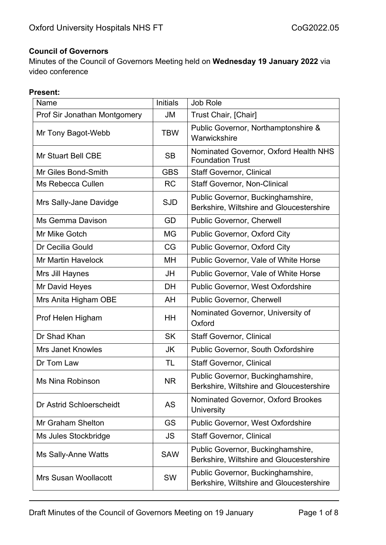#### **Council of Governors**

Minutes of the Council of Governors Meeting held on **Wednesday 19 January 2022** via video conference

#### **Present:**

| Name                         | <b>Initials</b> | Job Role                                                                      |
|------------------------------|-----------------|-------------------------------------------------------------------------------|
| Prof Sir Jonathan Montgomery | JM              | Trust Chair, [Chair]                                                          |
| Mr Tony Bagot-Webb           | <b>TBW</b>      | Public Governor, Northamptonshire &<br>Warwickshire                           |
| <b>Mr Stuart Bell CBE</b>    | <b>SB</b>       | Nominated Governor, Oxford Health NHS<br><b>Foundation Trust</b>              |
| Mr Giles Bond-Smith          | <b>GBS</b>      | <b>Staff Governor, Clinical</b>                                               |
| Ms Rebecca Cullen            | <b>RC</b>       | <b>Staff Governor, Non-Clinical</b>                                           |
| Mrs Sally-Jane Davidge       | <b>SJD</b>      | Public Governor, Buckinghamshire,<br>Berkshire, Wiltshire and Gloucestershire |
| <b>Ms Gemma Davison</b>      | GD              | Public Governor, Cherwell                                                     |
| Mr Mike Gotch                | <b>MG</b>       | Public Governor, Oxford City                                                  |
| Dr Cecilia Gould             | CG              | Public Governor, Oxford City                                                  |
| <b>Mr Martin Havelock</b>    | MH              | Public Governor, Vale of White Horse                                          |
| Mrs Jill Haynes              | JH              | Public Governor, Vale of White Horse                                          |
| Mr David Heyes               | DH              | <b>Public Governor, West Oxfordshire</b>                                      |
| Mrs Anita Higham OBE         | AH              | Public Governor, Cherwell                                                     |
| Prof Helen Higham            | <b>HH</b>       | Nominated Governor, University of<br>Oxford                                   |
| Dr Shad Khan                 | <b>SK</b>       | <b>Staff Governor, Clinical</b>                                               |
| <b>Mrs Janet Knowles</b>     | JK              | <b>Public Governor, South Oxfordshire</b>                                     |
| Dr Tom Law                   | TL              | <b>Staff Governor, Clinical</b>                                               |
| Ms Nina Robinson             | <b>NR</b>       | Public Governor, Buckinghamshire,<br>Berkshire, Wiltshire and Gloucestershire |
| Dr Astrid Schloerscheidt     | <b>AS</b>       | Nominated Governor, Oxford Brookes<br>University                              |
| Mr Graham Shelton            | GS              | <b>Public Governor, West Oxfordshire</b>                                      |
| Ms Jules Stockbridge         | <b>JS</b>       | <b>Staff Governor, Clinical</b>                                               |
| <b>Ms Sally-Anne Watts</b>   | <b>SAW</b>      | Public Governor, Buckinghamshire,<br>Berkshire, Wiltshire and Gloucestershire |
| <b>Mrs Susan Woollacott</b>  | SW              | Public Governor, Buckinghamshire,<br>Berkshire, Wiltshire and Gloucestershire |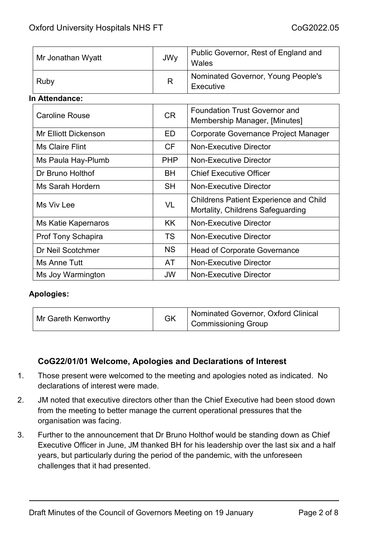| Mr Jonathan Wyatt | JWy | Public Governor, Rest of England and<br>Wales   |
|-------------------|-----|-------------------------------------------------|
| Ruby              | R   | Nominated Governor, Young People's<br>Executive |

#### **In Attendance:**

| <b>Caroline Rouse</b>       | <b>CR</b>  | <b>Foundation Trust Governor and</b><br>Membership Manager, [Minutes]              |
|-----------------------------|------------|------------------------------------------------------------------------------------|
| <b>Mr Elliott Dickenson</b> | ED         | Corporate Governance Project Manager                                               |
| Ms Claire Flint             | CF.        | <b>Non-Executive Director</b>                                                      |
| Ms Paula Hay-Plumb          | <b>PHP</b> | Non-Executive Director                                                             |
| Dr Bruno Holthof            | BH         | <b>Chief Executive Officer</b>                                                     |
| Ms Sarah Hordern            | <b>SH</b>  | <b>Non-Executive Director</b>                                                      |
| Ms Viv Lee                  | VL         | <b>Childrens Patient Experience and Child</b><br>Mortality, Childrens Safeguarding |
| Ms Katie Kapernaros         | KK.        | <b>Non-Executive Director</b>                                                      |
| Prof Tony Schapira          | <b>TS</b>  | Non-Executive Director                                                             |
| Dr Neil Scotchmer           | <b>NS</b>  | <b>Head of Corporate Governance</b>                                                |
| Ms Anne Tutt                | AT         | <b>Non-Executive Director</b>                                                      |
| Ms Joy Warmington           | <b>JW</b>  | <b>Non-Executive Director</b>                                                      |

#### **Apologies:**

| Mr Gareth Kenworthy | <b>GK</b> | Nominated Governor, Oxford Clinical<br>Commissioning Group |
|---------------------|-----------|------------------------------------------------------------|
|---------------------|-----------|------------------------------------------------------------|

## **CoG22/01/01 Welcome, Apologies and Declarations of Interest**

- 1. Those present were welcomed to the meeting and apologies noted as indicated. No declarations of interest were made.
- 2. JM noted that executive directors other than the Chief Executive had been stood down from the meeting to better manage the current operational pressures that the organisation was facing.
- 3. Further to the announcement that Dr Bruno Holthof would be standing down as Chief Executive Officer in June, JM thanked BH for his leadership over the last six and a half years, but particularly during the period of the pandemic, with the unforeseen challenges that it had presented.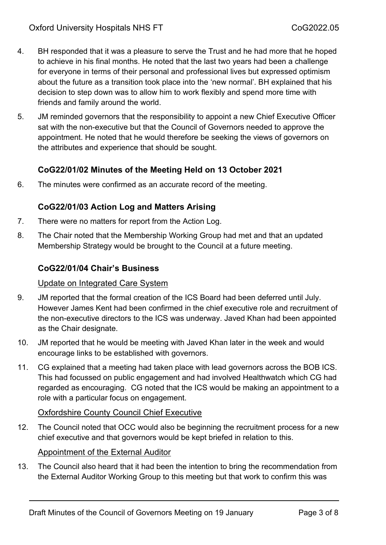- 4. BH responded that it was a pleasure to serve the Trust and he had more that he hoped to achieve in his final months. He noted that the last two years had been a challenge for everyone in terms of their personal and professional lives but expressed optimism about the future as a transition took place into the 'new normal'. BH explained that his decision to step down was to allow him to work flexibly and spend more time with friends and family around the world.
- 5. JM reminded governors that the responsibility to appoint a new Chief Executive Officer sat with the non-executive but that the Council of Governors needed to approve the appointment. He noted that he would therefore be seeking the views of governors on the attributes and experience that should be sought.

### **CoG22/01/02 Minutes of the Meeting Held on 13 October 2021**

6. The minutes were confirmed as an accurate record of the meeting.

## **CoG22/01/03 Action Log and Matters Arising**

- 7. There were no matters for report from the Action Log.
- 8. The Chair noted that the Membership Working Group had met and that an updated Membership Strategy would be brought to the Council at a future meeting.

#### **CoG22/01/04 Chair's Business**

#### Update on Integrated Care System

- 9. JM reported that the formal creation of the ICS Board had been deferred until July. However James Kent had been confirmed in the chief executive role and recruitment of the non-executive directors to the ICS was underway. Javed Khan had been appointed as the Chair designate.
- 10. JM reported that he would be meeting with Javed Khan later in the week and would encourage links to be established with governors.
- 11. CG explained that a meeting had taken place with lead governors across the BOB ICS. This had focussed on public engagement and had involved Healthwatch which CG had regarded as encouraging. CG noted that the ICS would be making an appointment to a role with a particular focus on engagement.

#### Oxfordshire County Council Chief Executive

12. The Council noted that OCC would also be beginning the recruitment process for a new chief executive and that governors would be kept briefed in relation to this.

#### Appointment of the External Auditor

13. The Council also heard that it had been the intention to bring the recommendation from the External Auditor Working Group to this meeting but that work to confirm this was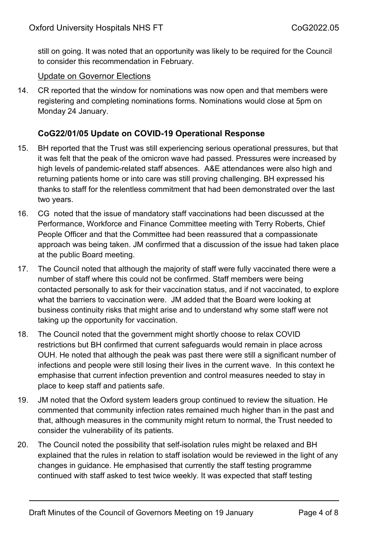still on going. It was noted that an opportunity was likely to be required for the Council to consider this recommendation in February.

#### Update on Governor Elections

14. CR reported that the window for nominations was now open and that members were registering and completing nominations forms. Nominations would close at 5pm on Monday 24 January.

### **CoG22/01/05 Update on COVID-19 Operational Response**

- 15. BH reported that the Trust was still experiencing serious operational pressures, but that it was felt that the peak of the omicron wave had passed. Pressures were increased by high levels of pandemic-related staff absences. A&E attendances were also high and returning patients home or into care was still proving challenging. BH expressed his thanks to staff for the relentless commitment that had been demonstrated over the last two years.
- 16. CG noted that the issue of mandatory staff vaccinations had been discussed at the Performance, Workforce and Finance Committee meeting with Terry Roberts, Chief People Officer and that the Committee had been reassured that a compassionate approach was being taken. JM confirmed that a discussion of the issue had taken place at the public Board meeting.
- 17. The Council noted that although the majority of staff were fully vaccinated there were a number of staff where this could not be confirmed. Staff members were being contacted personally to ask for their vaccination status, and if not vaccinated, to explore what the barriers to vaccination were. JM added that the Board were looking at business continuity risks that might arise and to understand why some staff were not taking up the opportunity for vaccination.
- 18. The Council noted that the government might shortly choose to relax COVID restrictions but BH confirmed that current safeguards would remain in place across OUH. He noted that although the peak was past there were still a significant number of infections and people were still losing their lives in the current wave. In this context he emphasise that current infection prevention and control measures needed to stay in place to keep staff and patients safe.
- 19. JM noted that the Oxford system leaders group continued to review the situation. He commented that community infection rates remained much higher than in the past and that, although measures in the community might return to normal, the Trust needed to consider the vulnerability of its patients.
- 20. The Council noted the possibility that self-isolation rules might be relaxed and BH explained that the rules in relation to staff isolation would be reviewed in the light of any changes in guidance. He emphasised that currently the staff testing programme continued with staff asked to test twice weekly. It was expected that staff testing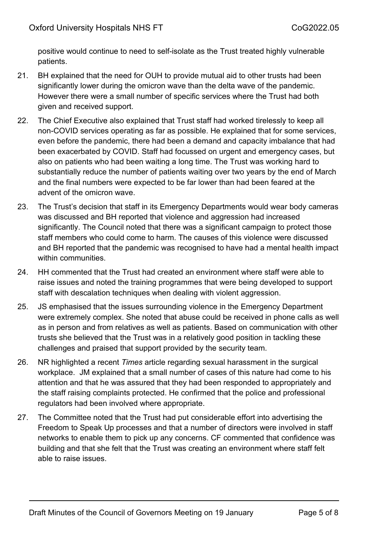positive would continue to need to self-isolate as the Trust treated highly vulnerable patients.

- 21. BH explained that the need for OUH to provide mutual aid to other trusts had been significantly lower during the omicron wave than the delta wave of the pandemic. However there were a small number of specific services where the Trust had both given and received support.
- 22. The Chief Executive also explained that Trust staff had worked tirelessly to keep all non-COVID services operating as far as possible. He explained that for some services, even before the pandemic, there had been a demand and capacity imbalance that had been exacerbated by COVID. Staff had focussed on urgent and emergency cases, but also on patients who had been waiting a long time. The Trust was working hard to substantially reduce the number of patients waiting over two years by the end of March and the final numbers were expected to be far lower than had been feared at the advent of the omicron wave.
- 23. The Trust's decision that staff in its Emergency Departments would wear body cameras was discussed and BH reported that violence and aggression had increased significantly. The Council noted that there was a significant campaign to protect those staff members who could come to harm. The causes of this violence were discussed and BH reported that the pandemic was recognised to have had a mental health impact within communities.
- 24. HH commented that the Trust had created an environment where staff were able to raise issues and noted the training programmes that were being developed to support staff with descalation techniques when dealing with violent aggression.
- 25. JS emphasised that the issues surrounding violence in the Emergency Department were extremely complex. She noted that abuse could be received in phone calls as well as in person and from relatives as well as patients. Based on communication with other trusts she believed that the Trust was in a relatively good position in tackling these challenges and praised that support provided by the security team.
- 26. NR highlighted a recent *Times* article regarding sexual harassment in the surgical workplace. JM explained that a small number of cases of this nature had come to his attention and that he was assured that they had been responded to appropriately and the staff raising complaints protected. He confirmed that the police and professional regulators had been involved where appropriate.
- 27. The Committee noted that the Trust had put considerable effort into advertising the Freedom to Speak Up processes and that a number of directors were involved in staff networks to enable them to pick up any concerns. CF commented that confidence was building and that she felt that the Trust was creating an environment where staff felt able to raise issues.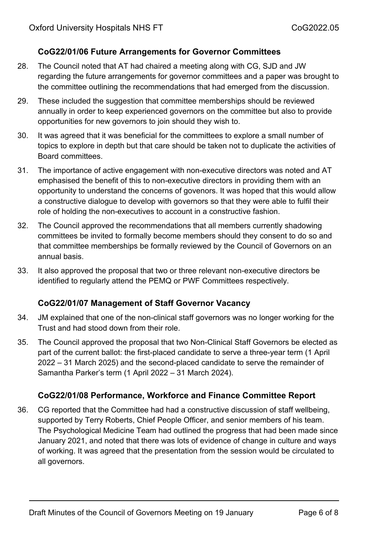# **CoG22/01/06 Future Arrangements for Governor Committees**

- 28. The Council noted that AT had chaired a meeting along with CG, SJD and JW regarding the future arrangements for governor committees and a paper was brought to the committee outlining the recommendations that had emerged from the discussion.
- 29. These included the suggestion that committee memberships should be reviewed annually in order to keep experienced governors on the committee but also to provide opportunities for new governors to join should they wish to.
- 30. It was agreed that it was beneficial for the committees to explore a small number of topics to explore in depth but that care should be taken not to duplicate the activities of Board committees.
- 31. The importance of active engagement with non-executive directors was noted and AT emphasised the benefit of this to non-executive directors in providing them with an opportunity to understand the concerns of govenors. It was hoped that this would allow a constructive dialogue to develop with governors so that they were able to fulfil their role of holding the non-executives to account in a constructive fashion.
- 32. The Council approved the recommendations that all members currently shadowing committees be invited to formally become members should they consent to do so and that committee memberships be formally reviewed by the Council of Governors on an annual basis.
- 33. It also approved the proposal that two or three relevant non-executive directors be identified to regularly attend the PEMQ or PWF Committees respectively.

## **CoG22/01/07 Management of Staff Governor Vacancy**

- 34. JM explained that one of the non-clinical staff governors was no longer working for the Trust and had stood down from their role.
- 35. The Council approved the proposal that two Non-Clinical Staff Governors be elected as part of the current ballot: the first-placed candidate to serve a three-year term (1 April 2022 – 31 March 2025) and the second-placed candidate to serve the remainder of Samantha Parker's term (1 April 2022 – 31 March 2024).

## **CoG22/01/08 Performance, Workforce and Finance Committee Report**

36. CG reported that the Committee had had a constructive discussion of staff wellbeing, supported by Terry Roberts, Chief People Officer, and senior members of his team. The Psychological Medicine Team had outlined the progress that had been made since January 2021, and noted that there was lots of evidence of change in culture and ways of working. It was agreed that the presentation from the session would be circulated to all governors.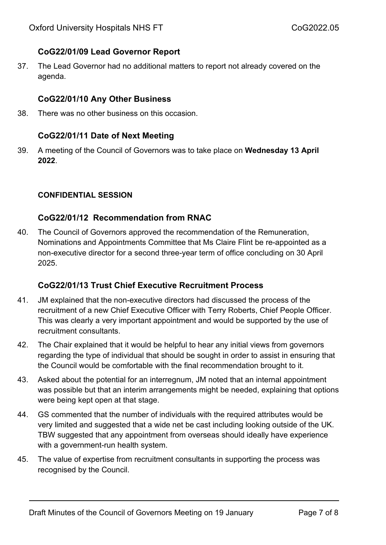# **CoG22/01/09 Lead Governor Report**

37. The Lead Governor had no additional matters to report not already covered on the agenda.

## **CoG22/01/10 Any Other Business**

38. There was no other business on this occasion.

## **CoG22/01/11 Date of Next Meeting**

39. A meeting of the Council of Governors was to take place on **Wednesday 13 April 2022**.

#### **CONFIDENTIAL SESSION**

## **CoG22/01/12 Recommendation from RNAC**

40. The Council of Governors approved the recommendation of the Remuneration, Nominations and Appointments Committee that Ms Claire Flint be re-appointed as a non-executive director for a second three-year term of office concluding on 30 April 2025.

## **CoG22/01/13 Trust Chief Executive Recruitment Process**

- 41. JM explained that the non-executive directors had discussed the process of the recruitment of a new Chief Executive Officer with Terry Roberts, Chief People Officer. This was clearly a very important appointment and would be supported by the use of recruitment consultants.
- 42. The Chair explained that it would be helpful to hear any initial views from governors regarding the type of individual that should be sought in order to assist in ensuring that the Council would be comfortable with the final recommendation brought to it.
- 43. Asked about the potential for an interregnum, JM noted that an internal appointment was possible but that an interim arrangements might be needed, explaining that options were being kept open at that stage.
- 44. GS commented that the number of individuals with the required attributes would be very limited and suggested that a wide net be cast including looking outside of the UK. TBW suggested that any appointment from overseas should ideally have experience with a government-run health system.
- 45. The value of expertise from recruitment consultants in supporting the process was recognised by the Council.